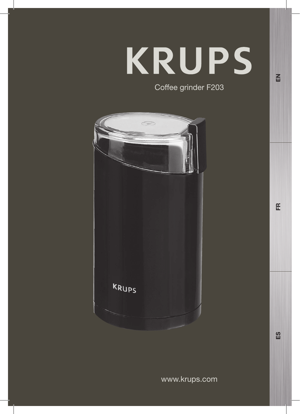# KRUPS Coffee grinder F203

 $\overline{a}$ 

 $E$ 

 $\frac{8}{2}$ 

KRUPS

www.krups.com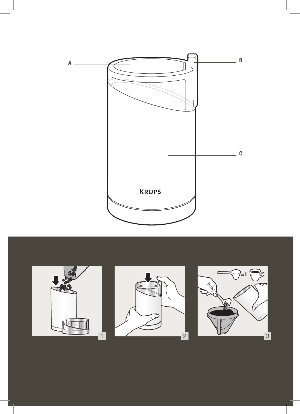





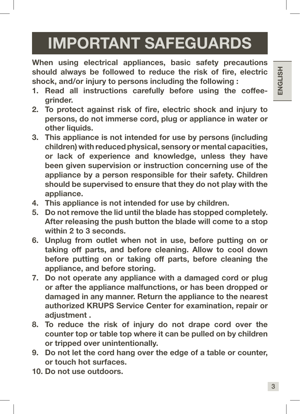# IMPORTANT SAFEGUARDS

When using electrical appliances, basic safety precautions should always be followed to reduce the risk of fire, electric shock, and/or injury to persons including the following :

- 1. Read all instructions carefully before using the coffeegrinder.
- 2. To protect against risk of fire, electric shock and injury to persons, do not immerse cord, plug or appliance in water or other liquids.
- 3. This appliance is not intended for use by persons (including children) with reduced physical, sensory or mental capacities, or lack of experience and knowledge, unless they have been given supervision or instruction concerning use of the appliance by a person responsible for their safety. Children should be supervised to ensure that they do not play with the appliance.
- 4. This appliance is not intended for use by children.
- 5. Do not remove the lid until the blade has stopped completely. After releasing the push button the blade will come to a stop within 2 to 3 seconds.
- 6. Unplug from outlet when not in use, before putting on or taking off parts, and before cleaning. Allow to cool down before putting on or taking off parts, before cleaning the appliance, and before storing.
- 7. Do not operate any appliance with a damaged cord or plug or after the appliance malfunctions, or has been dropped or damaged in any manner. Return the appliance to the nearest authorized KRUPS Service Center for examination, repair or adiustment.
- 8. To reduce the risk of injury do not drape cord over the counter top or table top where it can be pulled on by children or tripped over unintentionally.
- 9. Do not let the cord hang over the edge of a table or counter, or touch hot surfaces.
- 10. Do not use outdoors.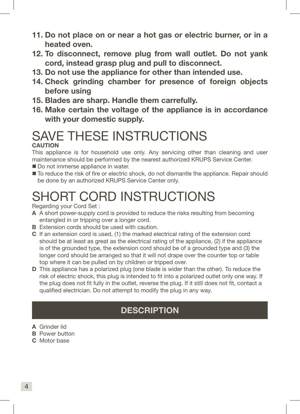- 11. Do not place on or near a hot gas or electric burner, or in a heated oven.
- 12. To disconnect, remove plug from wall outlet. Do not yank cord, instead grasp plug and pull to disconnect.
- 13. Do not use the appliance for other than intended use.
- 14. Check grinding chamber for presence of foreign objects before using
- 15. Blades are sharp. Handle them carrefully.
- 16. Make certain the voltage of the appliance is in accordance with your domestic supply.

### SAVE THESE INSTRUCTIONS **CAUTION**

This appliance is for household use only. Any servicing other than cleaning and user maintenance should be performed by the nearest authorized KRUPS Service Center.

- Do not immerse appliance in water.
- $\blacksquare$  To reduce the risk of fire or electric shock, do not dismantle the appliance. Repair should be done by an authorized KRUPS Service Center only.

# SHORT CORD INSTRUCTIONS

Regarding your Cord Set :

- A A short power-supply cord is provided to reduce the risks resulting from becoming entangled in or tripping over a longer cord.
- **B** Extension cords should be used with caution.
- C If an extension cord is used, (1) the marked electrical rating of the extension cord should be at least as great as the electrical rating of the appliance, (2) if the appliance is of the grounded type, the extension cord should be of a grounded type and (3) the longer cord should be arranged so that it will not drape over the counter top or table top where it can be pulled on by children or tripped over.
- D This appliance has a polarized plug (one blade is wider than the other). To reduce the risk of electric shock, this plug is intended to fit into a polarized outlet only one way. If the plug does not fit fully in the outlet, reverse the plug. If it still does not fit, contact a qualified electrician. Do not attempt to modify the plug in any way.

### **DESCRIPTION**

- A Grinder lid
- **B** Power button
- C. Motor base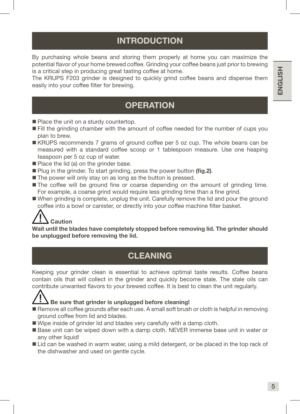ENGLISH

ENGLISH

## INTRODUCTION

By purchasing whole beans and storing them properly at home you can maximize the potential flavor of your home brewed coffee. Grinding your coffee beans just prior to brewing is a critical step in producing great tasting coffee at home.

The KRUPS F203 grinder is designed to quickly grind coffee beans and dispense them easily into your coffee filter for brewing.

#### **OPERATION**

- Place the unit on a sturdy countertop.
- Fill the grinding chamber with the amount of coffee needed for the number of cups you plan to brew.
- KRUPS recommends 7 grams of ground coffee per 5 oz cup. The whole beans can be measured with a standard coffee scoop or 1 tablespoon measure. Use one heaping teaspoon per 5 oz cup of water.
- Place the lid (a) on the grinder base.
- Plug in the grinder. To start grinding, press the power button (fig.2).
- The power will only stay on as long as the button is pressed.
- The coffee will be ground fine or coarse depending on the amount of grinding time. For example, a coarse grind would require less grinding time than a fine grind.
- When grinding is complete, unplug the unit. Carefully remove the lid and pour the ground coffee into a bowl or canister, or directly into your coffee machine filter basket.



Wait until the blades have completely stopped before removing lid. The grinder should be unplugged before removing the lid.

### CLEANING

Keeping your grinder clean is essential to achieve optimal taste results. Coffee beans contain oils that will collect in the grinder and quickly become stale. The stale oils can contribute unwanted flavors to your brewed coffee. It is best to clean the unit regularly.



#### Be sure that grinder is unplugged before cleaning!

- Remove all coffee grounds after each use. A small soft brush or cloth is helpful in removing ground coffee from lid and blades.
- Wipe inside of grinder lid and blades very carefully with a damp cloth.
- Base unit can be wiped down with a damp cloth. NEVER immerse base unit in water or any other liquid!
- Lid can be washed in warm water, using a mild detergent, or be placed in the top rack of the dishwasher and used on gentle cycle.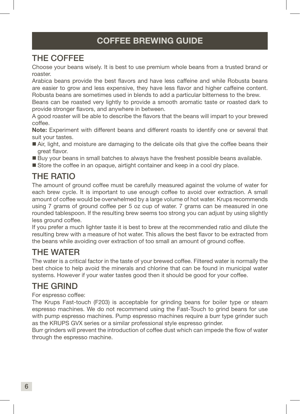#### COFFEE BREWING GUIDE

#### THE COFFEE

Choose your beans wisely. It is best to use premium whole beans from a trusted brand or roaster.

Arabica beans provide the best flavors and have less caffeine and while Robusta beans are easier to grow and less expensive, they have less flavor and higher caffeine content. Robusta beans are sometimes used in blends to add a particular bitterness to the brew.

Beans can be roasted very lightly to provide a smooth aromatic taste or roasted dark to provide stronger flavors, and anywhere in between.

A good roaster will be able to describe the flavors that the beans will impart to your brewed coffee.

Note: Experiment with different beans and different roasts to identify one or several that suit your tastes.

- Air, light, and moisture are damaging to the delicate oils that give the coffee beans their great flavor.
- Buy your beans in small batches to always have the freshest possible beans available.
- Store the coffee in an opaque, airtight container and keep in a cool dry place.

## THE RATIO

The amount of ground coffee must be carefully measured against the volume of water for each brew cycle. It is important to use enough coffee to avoid over extraction. A small amount of coffee would be overwhelmed by a large volume of hot water. Krups recommends using 7 grams of ground coffee per 5 oz cup of water. 7 grams can be measured in one rounded tablespoon. If the resulting brew seems too strong you can adjust by using slightly less ground coffee.

If you prefer a much lighter taste it is best to brew at the recommended ratio and dilute the resulting brew with a measure of hot water. This allows the best flavor to be extracted from the beans while avoiding over extraction of too small an amount of ground coffee.

### THE WATER

The water is a critical factor in the taste of your brewed coffee. Filtered water is normally the best choice to help avoid the minerals and chlorine that can be found in municipal water systems. However if your water tastes good then it should be good for your coffee.

### THE GRIND

#### For espresso coffee:

The Krups Fast-touch (F203) is acceptable for grinding beans for boiler type or steam espresso machines. We do not recommend using the Fast-Touch to grind beans for use with pump espresso machines. Pump espresso machines require a burr type grinder such as the KRUPS GVX series or a similar professional style espresso grinder.

Burr grinders will prevent the introduction of coffee dust which can impede the flow of water through the espresso machine.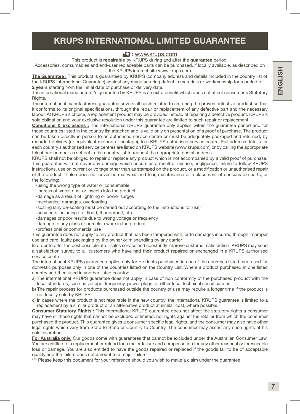#### KRUPS INTERNATIONAL LIMITED GUARANTEE

#### **E:** www.krups.com

This product is repairable by KRUPS during and after the guarantee period.

Accessories, consumables and end-user replaceable parts can be purchased, if locally available, as described on the KRUPS internet site www.krups.com

The Guarantee : This product is quaranteed by KRUPS (company address and details included in the country list of the KRUPS International Guarantee) against any manufacturing defect in materials or workmanship for a period of 2 years starting from the initial date of purchase or delivery date.

The international manufacturer's guarantee by KRUPS is an extra benefit which does not affect consumer's Statutory Rights.

The international manufacturer's guarantee covers all costs related to restoring the proven defective product so that it conforms to its original specifications, through the repair or replacement of any defective part and the necessary labour. At KRUPS's choice, a replacement product may be provided instead of repairing a defective product. KRUPS's sole obligation and your exclusive resolution under this guarantee are limited to such repair or replacement.

Conditions & Exclusions : The international KRUPS guarantee only applies within the guarantee period and for those countries listed in the country list attached and is valid only on presentation of a proof of purchase. The product can be taken directly in person to an authorised service centre or must be adequately packaged and returned, by recorded delivery (or equivalent method of postage), to a KRUPS authorised service centre. Full address details for each country's authorised service centres are listed on KRUPS website (www.krups.com) or by calling the appropriate telephone number as set out in the country list to request the appropriate postal address.

KRUPS shall not be obliged to repair or replace any product which is not accompanied by a valid proof of purchase. This guarantee will not cover any damage which occurs as a result of misuse, negligence, failure to follow KRUPS instructions, use on current or voltage other than as stamped on the product, or a modification or unauthorised repair of the product. It also does not cover normal wear and tear, maintenance or replacement of consumable parts, or the following:

-using the wrong type of water or consumable

- -ingress of water, dust or insects into the product
- -damage as a result of lightning or power surges
- -mechanical damages, overloading
- -scaling (any de-scaling must be carried out according to the instructions for use)
- -accidents including fire, flood, thunderbolt, etc
- -damages or poor results due to wrong voltage or frequency
- -damage to any glass or porcelain ware in the product

-professional or commercial use

This guarantee does not apply to any product that has been tampered with, or to damages incurred through improper use and care, faulty packaging by the owner or mishandling by any carrier.

In order to offer the best possible after-sales service and constantly improve customer satisfaction, KRUPS may send a satisfaction survey to all customers who have had their product repaired or exchanged in a KRUPS authorised service centre.

The international KRUPS guarantee applies only for products purchased in one of the countries listed, and used for domestic purposes only in one of the countries listed on the Country List. Where a product purchased in one listed country and then used in another listed country:

- a) The international KRUPS guarantee does not apply in case of non conformity of the purchased product with the local standards, such as voltage, frequency, power plugs, or other local technical specifications
- b) The repair process for products purchased outside the country of use may require a longer time if the product is not locally sold by KRUPS
- c) In cases where the product is not repairable in the new country, the international KRUPS guarantee is limited to a replacement by a similar product or an alternative product at similar cost, where possible.

Consumer Statutory Rights : This international KRUPS guarantee does not affect the statutory rights a consumer may have or those rights that cannot be excluded or limited, nor rights against the retailer from which the consumer purchased the product. This guarantee gives a consumer specific legal rights, and the consumer may also have other legal rights which vary from State to State or Country to Country. The consumer may assert any such rights at his sole discretion.

For Australia only: Our goods come with guarantees that cannot be excluded under the Australian Consumer Law. You are entitled to a replacement or refund for a major failure and compensation for any other reasonably foreseeable loss or damage. You are also entitled to have the goods repaired or replaced if the goods fail to be of acceptable quality and the failure does not amount to a major failure.

\*\*\* Please keep this document for your reference should you wish to make a claim under the guarantee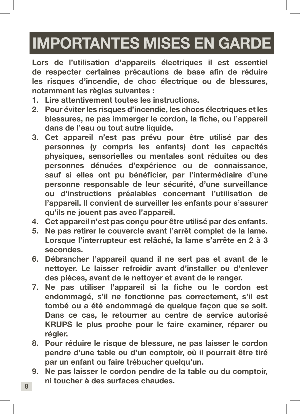# IMPORTANTES MISES EN GARDE

Lors de l'utilisation d'appareils électriques il est essentiel de respecter certaines précautions de base afin de réduire les risques d'incendie, de choc électrique ou de blessures, notamment les règles suivantes :

- 1. Lire attentivement toutes les instructions.
- 2. Pour éviter les risques d'incendie, les chocs électriques et les blessures, ne pas immerger le cordon, la fiche, ou l'appareil dans de l'eau ou tout autre liquide.
- 3. Cet appareil n'est pas prévu pour être utilisé par des personnes (y compris les enfants) dont les capacités physiques, sensorielles ou mentales sont réduites ou des personnes dénuées d'expérience ou de connaissance, sauf si elles ont pu bénéficier, par l'intermédiaire d'une personne responsable de leur sécurité, d'une surveillance ou d'instructions préalables concernant l'utilisation de l'appareil. Il convient de surveiller les enfants pour s'assurer qu'ils ne jouent pas avec l'appareil.
- 4. Cet appareil n'est pas conçu pour être utilisé par des enfants.
- 5. Ne pas retirer le couvercle avant l'arrêt complet de la lame. Lorsque l'interrupteur est relâché, la lame s'arrête en 2 à 3 secondes.
- 6. Débrancher l'appareil quand il ne sert pas et avant de le nettoyer. Le laisser refroidir avant d'installer ou d'enlever des pièces, avant de le nettoyer et avant de le ranger.
- 7. Ne pas utiliser l'appareil si la fiche ou le cordon est endommagé, s'il ne fonctionne pas correctement, s'il est tombé ou a été endommagé de quelque façon que se soit. Dans ce cas, le retourner au centre de service autorisé KRUPS le plus proche pour le faire examiner, réparer ou régler.
- 8. Pour réduire le risque de blessure, ne pas laisser le cordon pendre d'une table ou d'un comptoir, où il pourrait être tiré par un enfant ou faire trébucher quelqu'un.
- 9. Ne pas laisser le cordon pendre de la table ou du comptoir, ni toucher à des surfaces chaudes.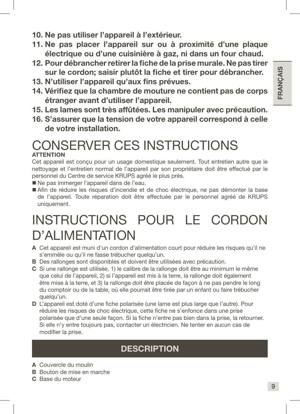- 10. Ne pas utiliser l'appareil à l'extérieur.
- 11. Ne pas placer l'appareil sur ou à proximité d'une plaque électrique ou d'une cuisinière à gaz, ni dans un four chaud.
- 12. Pour débrancher retirer la fiche de la prise murale. Ne pas tirer sur le cordon; saisir plutôt la fiche et tirer pour débrancher.
- 13. N'utiliser l'appareil qu'aux fins prévues.
- 14. Vérifiez que la chambre de mouture ne contient pas de corps étranger avant d'utiliser l'appareil.
- 15. Les lames sont très affûtées. Les manipuler avec précaution.
- 16. S'assurer que la tension de votre appareil correspond à celle de votre installation.

#### CONSERVER CES INSTRUCTIONS **ATTENTION**

Cet appareil est conçu pour un usage domestique seulement. Tout entretien autre que le nettoyage et l'entretien normal de l'appareil par son propriétaire doit être effectué par le personnel du Centre de service KRUPS agréé le plus près.

- Ne pas immerger l'appareil dans de l'eau.
- Afin de réduire les risques d'incendie et de choc électrique, ne pas démonter la base de l'appareil. Toute réparation doit être effectuée par le personnel agréé de KRUPS uniquement.

## INSTRUCTIONS POUR LE CORDON D'ALIMENTATION

- A Cet appareil est muni d'un cordon d'alimentation court pour réduire les risques qu'il ne s'emmêle ou qu'il ne fasse trébucher quelqu'un.
- B Des rallonges sont disponibles et doivent être utilisées avec précaution.
- C Si une rallonge est utilisée, 1) le calibre de la rallonge doit être au minimum le même que celui de l'appareil, 2) si l'appareil est mis à la terre, la rallonge doit également être mise à la terre, et 3) la rallonge doit être placée de façon à ne pas pendre le long du comptoir ou de la table, où elle pourrait être tirée par un enfant ou faire trébucher quelqu'un.
- D L'appareil est doté d'une fiche polarisée (une lame est plus large que l'autre). Pour réduire les risques de choc électrique, cette fiche ne s'enfonce dans une prise polarisée que d'une seule façon. Si la fiche n'entre pas bien dans la prise, la retourner. Si elle n'y entre toujours pas, contacter un électricien. Ne tenter en aucun cas de modifier la prise.

## **DESCRIPTION**

- A Couvercle du moulin
- B Bouton de mise en marche
- C Base du moteur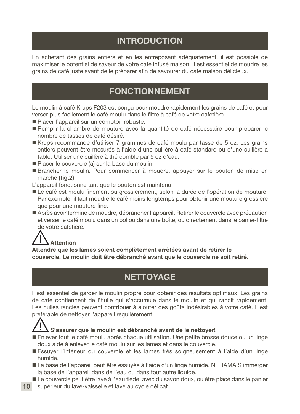#### INTRODUCTION

En achetant des grains entiers et en les entreposant adéquatement, il est possible de maximiser le potentiel de saveur de votre café infusé maison. Il est essentiel de moudre les grains de café juste avant de le préparer afin de savourer du café maison délicieux.

#### FONCTIONNEMENT

Le moulin à café Krups F203 est conçu pour moudre rapidement les grains de café et pour verser plus facilement le café moulu dans le filtre à café de votre cafetière.

- Placer l'appareil sur un comptoir robuste.
- Remplir la chambre de mouture avec la quantité de café nécessaire pour préparer le nombre de tasses de café désiré.
- Krups recommande d'utiliser 7 grammes de café moulu par tasse de 5 oz. Les grains entiers peuvent être mesurés à l'aide d'une cuillère à café standard ou d'une cuillère à table. Utiliser une cuillère à thé comble par 5 oz d'eau.
- Placer le couvercle (a) sur la base du moulin.
- Brancher le moulin. Pour commencer à moudre, appuyer sur le bouton de mise en marche (fig.2).
- L'appareil fonctionne tant que le bouton est maintenu.
- Le café est moulu finement ou grossièrement, selon la durée de l'opération de mouture. Par exemple, il faut moudre le café moins longtemps pour obtenir une mouture grossière que pour une mouture fine.
- Après avoir terminé de moudre, débrancher l'appareil. Retirer le couvercle avec précaution et verser le café moulu dans un bol ou dans une boîte, ou directement dans le panier-filtre de votre cafetière.

## **Attention**

Attendre que les lames soient complètement arrêtées avant de retirer le couvercle. Le moulin doit être débranché avant que le couvercle ne soit retiré.

### **NETTOYAGE**

Il est essentiel de garder le moulin propre pour obtenir des résultats optimaux. Les grains de café contiennent de l'huile qui s'accumule dans le moulin et qui rancit rapidement. Les huiles rancies peuvent contribuer à ajouter des goûts indésirables à votre café. Il est préférable de nettoyer l'appareil régulièrement.



10

#### S'assurer que le moulin est débranché avant de le nettoyer!

- Enlever tout le café moulu après chaque utilisation. Une petite brosse douce ou un linge doux aide à enlever le café moulu sur les lames et dans le couvercle.
- Essuyer l'intérieur du couvercle et les lames très soigneusement à l'aide d'un linge humide.
- La base de l'appareil peut être essuyée à l'aide d'un linge humide. NE JAMAIS immerger la base de l'appareil dans de l'eau ou dans tout autre liquide.
- Le couvercle peut être lavé à l'eau tiède, avec du savon doux, ou être placé dans le panier supérieur du lave-vaisselle et lavé au cycle délicat.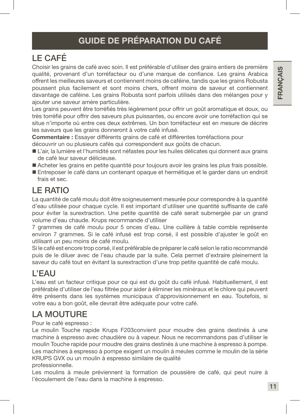## LE CAFÉ

Choisir les grains de café avec soin. Il est préférable d'utiliser des grains entiers de première qualité, provenant d'un torréfacteur ou d'une marque de confiance. Les grains Arabica offrent les meilleures saveurs et contiennent moins de caféine, tandis que les grains Robusta poussent plus facilement et sont moins chers, offrent moins de saveur et contiennent davantage de caféine. Les grains Robusta sont parfois utilisés dans des mélanges pour y ajouter une saveur amère particulière.

Les grains peuvent être torréfiés très légèrement pour offrir un goût aromatique et doux, ou très torréfié pour offrir des saveurs plus puissantes, ou encore avoir une torréfaction qui se situe n'importe où entre ces deux extrêmes. Un bon torréfacteur est en mesure de décrire les saveurs que les grains donneront à votre café infusé.

Commentaire : Essayer différents grains de café et différentes torréfactions pour découvrir un ou plusieurs cafés qui correspondent aux goûts de chacun.

- L'air, la lumière et l'humidité sont néfastes pour les huiles délicates qui donnent aux grains de café leur saveur délicieuse.
- Acheter les grains en petite quantité pour toujours avoir les grains les plus frais possible.
- Entreposer le café dans un contenant opaque et hermétique et le garder dans un endroit frais et sec.

## LE RATIO

La quantité de café moulu doit être soigneusement mesurée pour correspondre à la quantité d'eau utilisée pour chaque cycle. Il est important d'utiliser une quantité suffisante de café pour éviter la surextraction. Une petite quantité de café serait submergée par un grand volume d'eau chaude. Krups recommande d'utiliser

7 grammes de café moulu pour 5 onces d'eau. Une cuillère à table comble représente environ 7 grammes. Si le café infusé est trop corsé, il est possible d'ajuster le goût en utilisant un peu moins de café moulu.

Si le café est encore trop corsé, il est préférable de préparer le café selon le ratio recommandé puis de le diluer avec de l'eau chaude par la suite. Cela permet d'extraire pleinement la saveur du café tout en évitant la surextraction d'une trop petite quantité de café moulu.

### L'EAU

L'eau est un facteur critique pour ce qui est du goût du café infusé. Habituellement, il est préférable d'utiliser de l'eau filtrée pour aider à éliminer les minéraux et le chlore qui peuvent être présents dans les systèmes municipaux d'approvisionnement en eau. Toutefois, si votre eau a bon goût, elle devrait être adéquate pour votre café.

## LA MOUTURE

Pour le café espresso :

Le moulin Touche rapide Krups F203convient pour moudre des grains destinés à une machine à espresso avec chaudière ou à vapeur. Nous ne recommandons pas d'utiliser le moulin Touche rapide pour moudre des grains destinés à une machine à espresso à pompe. Les machines à espresso à pompe exigent un moulin à meules comme le moulin de la série KRUPS GVX ou un moulin à espresso similaire de qualité professionnelle.

Les moulins à meule préviennent la formation de poussière de café, qui peut nuire à l'écoulement de l'eau dans la machine à espresso.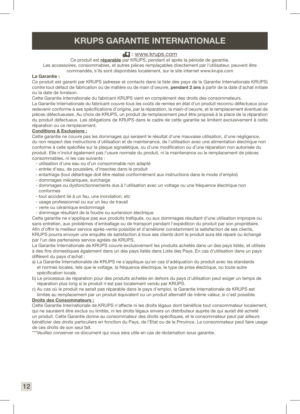#### KRUPS GARANTIE INTERNATIONALE

#### **E:** www.krups.com

Ce produit est *réparable* par KRUPS, pendant et après la période de garantie.

Les accessoires, consommables, et autres pièces remplaçables directement par l'utilisateur, peuvent être commandés, s'ils sont disponibles localement, sur le site internet www.krups.com

#### La Garantie :

Ce produit est garanti par KRUPS (adresse et contacts dans la liste des pays de la Garantie Internationale KRUPS) contre tout défaut de fabrication ou de matière ou de main d'oeuvre, pendant 2 ans à partir de la date d'achat initiale ou la date de livraison.

Cette Garantie Internationale du fabricant KRUPS vient en complément des droits des consommateurs.

La Garantie Internationale du fabricant couvre tous les coûts de remise en état d'un produit reconnu défectueux pour redevenir conforme à ses spécifications d'origine, par la réparation, la main-d'oeuvre, et le remplacement éventuel de pièces défectueuses. Au choix de KRUPS, un produit de remplacement peut être proposé à la place de la réparation du produit défectueux. Les obligations de KRUPS dans le cadre de cette garantie se limitent exclusivement à cette réparation ou ce remplacement.

#### Conditions & Exclusions :

Cette garantie ne couvre pas les dommages qui seraient le résultat d'une mauvaise utilisation, d'une négligence, du non respect des instructions d'utilisation et de maintenance, de l'utilisation avec une alimentation électrique non conforme à celle spécifiée sur la plaque signalétique, ou d'une modification ou d'une réparation non autorisée du produit. Elle n'inclut également pas l'usure normale du produit, ni la maintenance ou le remplacement de pièces consommables, ni les cas suivants :

- utilisation d'une eau ou d'un consommable non adapté
- entrée d'eau, de poussière, d'insectes dans le produit
- entartrage (tout détartrage doit être réalisé conformément aux instructions dans le mode d'emploi)
- dommages mécaniques, surcharge
- dommages ou dysfonctionnements dus à l'utilisation avec un voltage ou une fréquence électrique non conformes
- tout accident lié à un feu, une inondation, etc
- usage professionnel ou sur un lieu de travail
- verre ou céramique endommagé
- dommage résultant de la foudre ou surtension électrique

Cette garantie ne s'applique pas aux produits trafiqués, ou aux dommages résultant d'une utilisation impropre ou sans entretien, aux problèmes d'emballage ou de transport pendant l'expédition du produit par son propriétaire. Afin d'offrir le meilleur service après-vente possible et d'améliorer constamment la satisfaction de ses clients, KRUPS pourra envoyer une enquête de satisfaction à tous ses clients dont le produit aura été réparé ou échangé par l'un des partenaires service agréés de KRUPS.

La Garantie Internationale de KRUPS couvre exclusivement les produits achetés dans un des pays listés, et utilisés à des fins domestiques également dans un des pays listés dans Liste des Pays. En cas d'utilisation dans un pays différent du pays d'achat :

- a) La Garantie Internationalde de KRUPS ne s'applique qu'en cas d'adéquation du produit avec les standards et normes locales, tels que le voltage, la fréquence électrique, le type de prise électrique, ou toute autre spécification locale.
- b) Le processus de réparation pour des produits achetés en dehors du pays d'utilisation peut exiger un temps de réparation plus long si le produit n'est pas localement vendu par KRUPS.
- c) Au cas où le produit ne serait pas réparable dans le pays d'emploi, la Garantie Internationale de KRUPS est limitée au remplacement par un produit équivalent ou un produit alternatif de même valeur, si c'est possible.

#### Droits des Consommateurs :

Cette Garantie Internationale de KRUPS n'affecte ni les droits légaux dont bénéficie tout consommateur localement, qui ne sauraient être exclus ou limités, ni les droits légaux envers un distributeur auprès de qui aurait été acheté un produit. Cette Garantie donne au consommateur des droits spécifiques, et le consommateur peut par ailleurs bénéficier des droits particuliers en fonction du Pays, de l'Etat ou de la Province. Le consommateur peut faire usage de ces droits de son seul fait.

\*\*\*Veuillez conserver ce document qui vous sera utile en cas de réclamation sous garantie.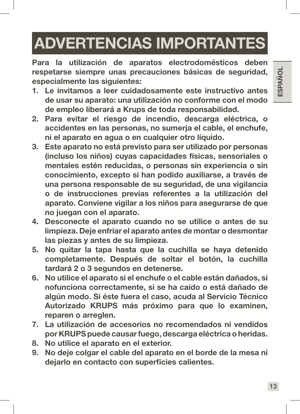# ADVERTENCIAS IMPORTANTES

Para la utilización de aparatos electrodomésticos deben respetarse siempre unas precauciones básicas de seguridad, especialmente las siguientes:

- 1. Le invitamos a leer cuidadosamente este instructivo antes de usar su aparato: una utilización no conforme con el modo de empleo liberará a Krups de toda responsabilidad.
- 2. Para evitar el riesgo de incendio, descarga eléctrica, o accidentes en las personas, no sumerja el cable, el enchufe, ni el aparato en agua o en cualquier otro líquido.
- 3. Este aparato no está previsto para ser utilizado por personas (incluso los niños) cuyas capacidades físicas, sensoriales o mentales estén reducidas, o personas sin experiencia o sin conocimiento, excepto si han podido auxiliarse, a través de una persona responsable de su seguridad, de una vigilancia o de instrucciones previas referentes a la utilización del aparato. Conviene vigilar a los niños para asegurarse de que no juegan con el aparato.
- 4. Desconecte el aparato cuando no se utilice o antes de su limpieza. Deje enfriar el aparato antes de montar o desmontar las piezas y antes de su limpieza.
- 5. No quitar la tapa hasta que la cuchilla se haya detenido completamente. Después de soltar el botón, la cuchilla tardará 2 o 3 segundos en detenerse.
- 6. No utilice el aparato si el enchufe o el cable están dañados, si nofunciona correctamente, si se ha caído o está dañado de algún modo. Si éste fuera el caso, acuda al Servicio Técnico Autorizado KRUPS más próximo para que lo examinen, reparen o arreglen.
- 7. La utilización de accesorios no recomendados ni vendidos por KRUPS puede causar fuego, descarga eléctrica o heridas.
- 8. No utilice el aparato en el exterior.
- 9. No deje colgar el cable del aparato en el borde de la mesa ni dejarlo en contacto con superficies calientes.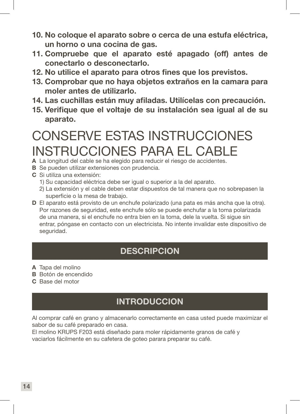- 10. No coloque el aparato sobre o cerca de una estufa eléctrica, un horno o una cocina de gas.
- 11. Compruebe que el aparato esté apagado (off) antes de conectarlo o desconectarlo.
- 12. No utilice el aparato para otros fines que los previstos.
- 13. Comprobar que no haya objetos extraños en la camara para moler antes de utilizarlo.
- 14. Las cuchillas están muy afiladas. Utilícelas con precaución.
- 15. Verifique que el voltaje de su instalación sea igual al de su aparato.

## CONSERVE ESTAS INSTRUCCIONES INSTRUCCIONES PARA EL CABLE

- A La longitud del cable se ha elegido para reducir el riesgo de accidentes.
- B Se pueden utilizar extensiones con prudencia.
- C Si utiliza una extensión:
	- 1) Su capacidad eléctrica debe ser igual o superior a la del aparato.
	- 2) La extensión y el cable deben estar dispuestos de tal manera que no sobrepasen la superficie o la mesa de trabajo.
- D El aparato está provisto de un enchufe polarizado (una pata es más ancha que la otra). Por razones de seguridad, este enchufe sólo se puede enchufar a la toma polarizada de una manera, si el enchufe no entra bien en la toma, dele la vuelta. Si sigue sin entrar, póngase en contacto con un electricista. No intente invalidar este dispositivo de seguridad.

### **DESCRIPCION**

- A Tapa del molino
- B Botón de encendido
- C Base del motor

### **INTRODUCCION**

Al comprar café en grano y almacenarlo correctamente en casa usted puede maximizar el sabor de su café preparado en casa.

El molino KRUPS F203 está diseñado para moler rápidamente granos de café y vaciarlos fácilmente en su cafetera de goteo parara preparar su café.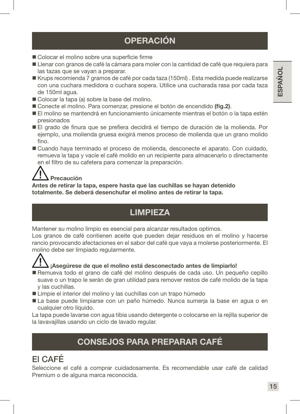## OPERACIÓN

- Colocar el molino sobre una superficie firme
- Llenar con granos de café la cámara para moler con la cantidad de café que requiera para las tazas que se vayan a preparar.
- Krups recomienda 7 gramos de café por cada taza (150ml) . Esta medida puede realizarse con una cuchara medidora o cuchara sopera. Utilice una cucharada rasa por cada taza de 150ml agua.
- Colocar la tapa (a) sobre la base del molino.
- Conecte el molino. Para comenzar, presione el botón de encendido (fig.2).
- El molino se mantendrá en funcionamiento únicamente mientras el botón o la tapa estén presionados
- El grado de finura que se prefiera decidirá el tiempo de duración de la molienda. Por ejemplo, una molienda gruesa exigirá menos proceso de molienda que un grano molido fino.
- Cuando haya terminado el proceso de molienda, desconecte el aparato. Con cuidado, remueva la tapa y vacíe el café molido en un recipiente para almacenarlo o directamente en el filtro de su cafetera para comenzar la preparación.

## Precaución

Antes de retirar la tapa, espere hasta que las cuchillas se hayan detenido totalmente. Se deberá desenchufar el molino antes de retirar la tapa.

## LIMPIEZA

Mantener su molino limpio es esencial para alcanzar resultados optimos.

Los granos de café contienen aceite que pueden dejar residuos en el molino y hacerse rancio provocando afectaciones en el sabor del café que vaya a molerse posteriormente. El molino debe ser limpiado regularmente.



#### i Asegúrese de que el molino está desconectado antes de limpiarlo!

- Remueva todo el grano de café del molino después de cada uso. Un pequeño cepillo suave o un trapo le serán de gran utilidad para remover restos de café molido de la tapa y las cuchillas.
- Limpie el interior del molino y las cuchillas con un trapo húmedo
- La base puede limpiarse con un paño húmedo. Nunca sumerja la base en agua o en cualquier otro líquido.

La tapa puede lavarse con agua tibia usando detergente o colocarse en la rejilla superior de la lavavajillas usando un ciclo de lavado regular.

### CONSEJOS PARA PREPARAR CAFÉ

## El CAFÉ

Seleccione el café a comprar cuidadosamente. Es recomendable usar café de calidad Premium o de alguna marca reconocida.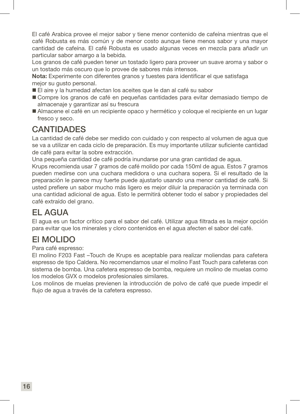El café Arabica provee el mejor sabor y tiene menor contenido de cafeína mientras que el café Robusta es más común y de menor costo aunque tiene menos sabor y una mayor cantidad de cafeína. El café Robusta es usado algunas veces en mezcla para añadir un particular sabor amargo a la bebida.

Los granos de café pueden tener un tostado ligero para proveer un suave aroma y sabor o un tostado más oscuro que lo provee de sabores más intensos.

Nota: Experimente con diferentes granos y tuestes para identificar el que satisfaga mejor su gusto personal.

- El aire y la humedad afectan los aceites que le dan al café su sabor
- Compre los granos de café en pequeñas cantidades para evitar demasiado tiempo de almacenaje y garantizar así su frescura
- Almacene el café en un recipiente opaco y hermético y coloque el recipiente en un lugar fresco y seco.

#### CANTIDADES

La cantidad de café debe ser medido con cuidado y con respecto al volumen de agua que se va a utilizar en cada ciclo de preparación. Es muy importante utilizar suficiente cantidad de café para evitar la sobre extracción.

Una pequeña cantidad de café podría inundarse por una gran cantidad de agua.

Krups recomienda usar 7 gramos de café molido por cada 150ml de agua. Estos 7 gramos pueden medirse con una cuchara medidora o una cuchara sopera. Si el resultado de la preparación le parece muy fuerte puede ajustarlo usando una menor cantidad de café. Si usted prefiere un sabor mucho más ligero es mejor diluir la preparación ya terminada con una cantidad adicional de agua. Esto le permitirá obtener todo el sabor y propiedades del café extraído del grano.

#### EL AGUA

El agua es un factor crítico para el sabor del café. Utilizar agua filtrada es la mejor opción para evitar que los minerales y cloro contenidos en el agua afecten el sabor del café.

#### El MOLIDO

#### Para café espresso:

El molino F203 Fast –Touch de Krups es aceptable para realizar moliendas para cafetera espresso de tipo Caldera. No recomendamos usar el molino Fast Touch para cafeteras con sistema de bomba. Una cafetera espresso de bomba, requiere un molino de muelas como los modelos GVX o modelos profesionales similares.

Los molinos de muelas previenen la introducción de polvo de café que puede impedir el flujo de agua a través de la cafetera espresso.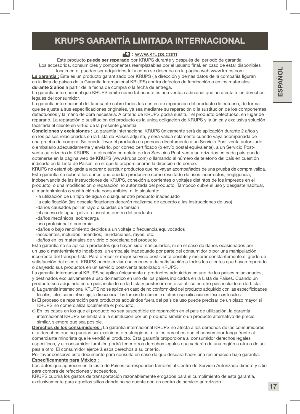#### KRUPS GARANTÍA LIMITADA INTERNACIONAL

#### **E:** www.krups.com

Este producto **puede ser reparado** por KRUPS durante y después del periodo de garantía. Los accesorios, consumibles y componentes reemplazables por el usuario final, en caso de estar disponibles

localmente, pueden ser adquiridos tal y como se describe en la página web www.krups.com La garantía : Este es un producto garantizado por KRUPS (la dirección y demás datos de la compañía figuran en la lista de países de la Garantía Internacional KRUPS) contra defectos de fabricación o en los materiales durante 2 años a partir de la fecha de compra o la fecha de entrega.

La garantía internacional que KRUPS emite como fabricante es una ventaja adicional que no afecta a los derechos legales del consumidor.

La garantía internacional del fabricante cubre todos los costes de reparación del producto defectuoso, de forma que se ajuste a sus especificaciones originales, ya sea mediante su reparación o la sustitución de los componentes defectuosos y la mano de obra necesaria. A criterio de KRUPS podrá sustituir el producto defectuoso, en lugar de repararlo. La reparación o sustitución del producto es la única obligación de KRUPS y la única y exclusiva solución facilitada al cliente en virtud de la presente garantía.

Condiciones y exclusiones : La garantía internacional KRUPS únicamente será de aplicación durante 2 años y en los países relacionados en la Lista de Países adjunta, y será válida solamente cuando vaya acompañada de una prueba de compra. Se puede llevar el producto en persona directamente a un Servicio Post-venta autorizado, o embalarlo adecuadamente y enviarlo, por correo certificado (o envío postal equivalente), a un Servicio Postventa autorizado de KRUPS. La dirección completa de los Servicios Post-venta autorizados en cada país puede obtenerse en la página web de KRUPS (www.krups.com) o llamando al número de teléfono del país en cuestión indicado en la Lista de Países, en el que le proporcionarán la dirección de correo.

KRUPS no estará obligada a reparar o sustituir productos que no vayan acompañados de una prueba de compra válida. Esta garantía no cubrirá los daños que puedan producirse como resultado de usos incorrectos, negligencia, inobservancia de las instrucciones de KRUPS, conexión a corrientes o voltajes distintos de los impresos en el producto, o una modificación o reparación no autorizada del producto. Tampoco cubre el uso y desgaste habitual, el mantenimiento o sustitución de consumibles, ni lo siguiente:

- -la utilización de un tipo de agua o cualquier otro producto inadecuado
- -la calcificación (las descalcificaciones deberán realizarse de acuerdo a las instrucciones de uso)
- -daños causados por un rayo o subidas de tensión
- -el acceso de agua, polvo o insectos dentro del producto
- -daños mecánicos, sobrecarga
- -uso profesional o comercial
- -daños o bajo rendimiento debidos a un voltaje o frecuencia equivocados
- -accidentes, incluidos incendios, inundaciones, rayos, etc.
- -daños en los materiales de vidrio o porcelana del producto

Esta garantía no se aplica a productos que hayan sido manipulados, ni en el caso de daños ocasionados por un uso o mantenimiento indebidos, un embalaje inadecuado por parte del consumidor o por una manipulación incorrecta del transportista. Para ofrecer el mejor servicio post-venta posible y mejorar constantemente el grado de satisfacción del cliente, KRUPS puede enviar una encuesta de satisfacción a todos los clientes que hayan reparado o canjeado sus productos en un servicio post-venta autorizado KRUPS.

La garantía internacional KRUPS se aplica únicamente a productos adquiridos en uno de los países relacionados, y destinados exclusivamente a uso doméstico en uno de los países indicados en la Lista de Países. Cuando un producto sea adquirido en un país incluido en la Lista y posteriormente se utilice en otro país incluido en la Lista:

- a) La garantía internacional KRUPS no se aplica en caso de no conformidad del producto adquirido con las especificidades locales, tales como el voltaje, la frecuencia, las tomas de corriente u otras especificaciones técnicas locales.
- b) El proceso de reparación para productos adquiridos fuera del país de uso puede precisar de un plazo mayor si KRUPS no comercializa localmente el producto.
- c) En los casos en los que el producto no sea susceptible de reparación en el país de utilización, la garantía internacional KRUPS se limitará a la sustitución por un producto similar o un producto alternativo de precio similar, siempre que sea posible.

Derechos de los consumidores : La garantía internacional KRUPS no afecta a los derechos de los consumidores ni a derechos que no puedan ser excluidos o restringidos, ni a los derechos que el consumidor tenga frente al comerciante minorista que le vendió el producto. Esta garantía proporciona al consumidor derechos legales específicos, y el consumidor también podrá tener otros derechos legales que variarán de una región a otra o de un país a otro. El consumidor ejercerá esos derechos a su criterio.

Por favor conserve este documento para consulta en caso de que deseara hacer una reclamación bajo garantía. Específicamente para México :

Los datos que aparecen en la Lista de Países corresponden también al Centro de Servicio Autorizado directo y sitio para compra de refacciones y accesorios.

KRUPS cubrirá los gastos de transportación razonablemente erogados para el cumplimiento de esta garantía, exclusivamente para aquellos sitios donde no se cuente con un centro de servicio autorizado.